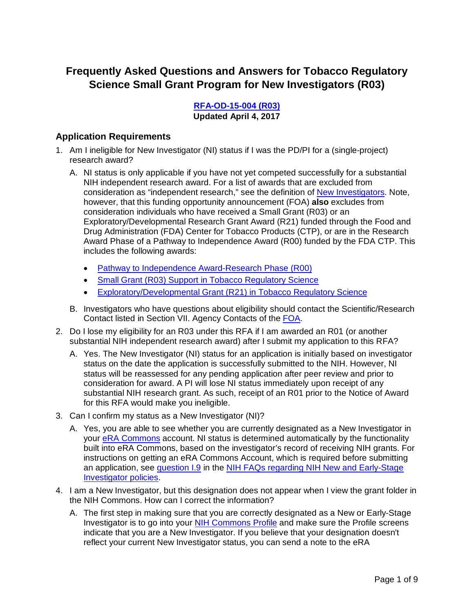# **Frequently Asked Questions and Answers for Tobacco Regulatory Science Small Grant Program for New Investigators (R03)**

**[RFA-OD-15-004 \(R03\)](http://grants.nih.gov/grants/guide/rfa-files/RFA-OD-15-004.html) Updated April 4, 2017**

## **Application Requirements**

- 1. Am I ineligible for New Investigator (NI) status if I was the PD/PI for a (single-project) research award?
	- A. NI status is only applicable if you have not yet competed successfully for a substantial NIH independent research award. For a list of awards that are excluded from consideration as "independent research," see the definition of [New Investigators.](http://grants.nih.gov/policy/new_investigators/index.htm#definition) Note, however, that this funding opportunity announcement (FOA) **also** excludes from consideration individuals who have received a Small Grant (R03) or an Exploratory/Developmental Research Grant Award (R21) funded through the Food and Drug Administration (FDA) Center for Tobacco Products (CTP), or are in the Research Award Phase of a Pathway to Independence Award (R00) funded by the FDA CTP. This includes the following awards:
		- Pathway to Independence [Award-Research Phase \(R00\)](https://prevention.nih.gov/tobacco-regulatory-science-program/research-portfolio#training_14)
		- [Small Grant \(R03\) Support in Tobacco Regulatory Science](https://prevention.nih.gov/tobacco-regulatory-science-program/research-portfolio)
		- [Exploratory/Developmental Grant \(R21\) in Tobacco Regulatory Science](https://prevention.nih.gov/tobacco-regulatory-science-program/research-portfolio)
	- B. Investigators who have questions about eligibility should contact the Scientific/Research Contact listed in Section VII. Agency Contacts of the [FOA.](http://grants.nih.gov/grants/guide/rfa-files/RFA-OD-15-004.html#_Section_VII._Agency)
- 2. Do I lose my eligibility for an R03 under this RFA if I am awarded an R01 (or another substantial NIH independent research award) after I submit my application to this RFA?
	- A. Yes. The New Investigator (NI) status for an application is initially based on investigator status on the date the application is successfully submitted to the NIH. However, NI status will be reassessed for any pending application after peer review and prior to consideration for award. A PI will lose NI status immediately upon receipt of any substantial NIH research grant. As such, receipt of an R01 prior to the Notice of Award for this RFA would make you ineligible.
- 3. Can I confirm my status as a New Investigator (NI)?
	- A. Yes, you are able to see whether you are currently designated as a New Investigator in your [eRA Commons](https://public.era.nih.gov/commons/public/login.do?TYPE=33554433&REALMOID=06-1edb031f-46c7-44b3-b803-60b537de74d2&GUID=&SMAUTHREASON=0&METHOD=GET&SMAGENTNAME=-SM-938PYmoLVb4VrDeXo04LZUDVDvc%2b3899ByInEAjuSUvWNIGfB2zRpWiCivYGCogG&TARGET=-SM-http%3a%2f%2fpublic%2eera%2enih%2egov%2fcommons) account. NI status is determined automatically by the functionality built into eRA Commons, based on the investigator's record of receiving NIH grants. For instructions on getting an eRA Commons Account, which is required before submitting an application, see question 1.9 in the NIH FAQs regarding NIH New and Early-Stage [Investigator policies.](http://grants.nih.gov/grants/new_investigators/investigator_policies_faqs.htm)
- 4. I am a New Investigator, but this designation does not appear when I view the grant folder in the NIH Commons. How can I correct the information?
	- A. The first step in making sure that you are correctly designated as a New or Early-Stage Investigator is to go into your **[NIH Commons Profile](https://commons.era.nih.gov/commons/)** and make sure the Profile screens indicate that you are a New Investigator. If you believe that your designation doesn't reflect your current New Investigator status, you can send a note to the eRA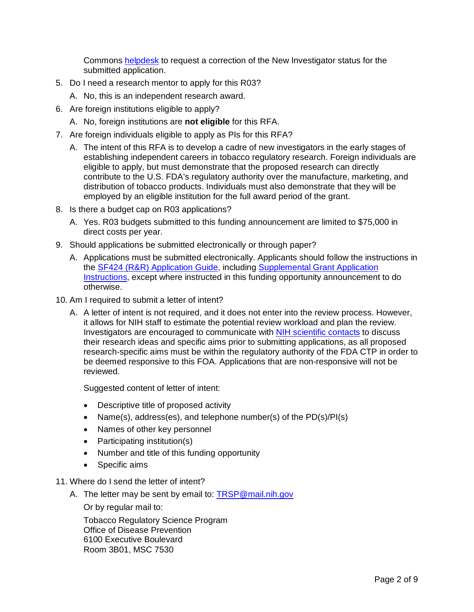Commons [helpdesk](mailto:commons@od.nih.gov) to request a correction of the New Investigator status for the submitted application.

- 5. Do I need a research mentor to apply for this R03?
	- A. No, this is an independent research award.
- 6. Are foreign institutions eligible to apply?
	- A. No, foreign institutions are **not eligible** for this RFA.
- 7. Are foreign individuals eligible to apply as PIs for this RFA?
	- A. The intent of this RFA is to develop a cadre of new investigators in the early stages of establishing independent careers in tobacco regulatory research. Foreign individuals are eligible to apply, but must demonstrate that the proposed research can directly contribute to the U.S. FDA's regulatory authority over the manufacture, marketing, and distribution of tobacco products. Individuals must also demonstrate that they will be employed by an eligible institution for the full award period of the grant.
- 8. Is there a budget cap on R03 applications?
	- A. Yes. R03 budgets submitted to this funding announcement are limited to \$75,000 in direct costs per year.
- 9. Should applications be submitted electronically or through paper?
	- A. Applications must be submitted electronically. Applicants should follow the instructions in the **SF424 (R&R) Application Guide**, including **Supplemental Grant Application** [Instructions,](https://grants.nih.gov/grants/funding/424/SupplementalInstructions.pdf) except where instructed in this funding opportunity announcement to do otherwise.
- 10. Am I required to submit a letter of intent?
	- A. A letter of intent is not required, and it does not enter into the review process. However, it allows for NIH staff to estimate the potential review workload and plan the review. Investigators are encouraged to communicate with [NIH scientific contacts](http://grants.nih.gov/grants/guide/rfa-files/RFA-OD-15-004.html#_Section_VII._Agency) to discuss their research ideas and specific aims prior to submitting applications, as all proposed research-specific aims must be within the regulatory authority of the FDA CTP in order to be deemed responsive to this FOA. Applications that are non-responsive will not be reviewed.

Suggested content of letter of intent:

- Descriptive title of proposed activity
- Name(s), address(es), and telephone number(s) of the PD(s)/PI(s)
- Names of other key personnel
- Participating institution(s)
- Number and title of this funding opportunity
- Specific aims
- 11. Where do I send the letter of intent?
	- A. The letter may be sent by email to: [TRSP@mail.nih.gov](mailto:TRSP@mail.nih.gov)

Or by regular mail to:

Tobacco Regulatory Science Program Office of Disease Prevention 6100 Executive Boulevard Room 3B01, MSC 7530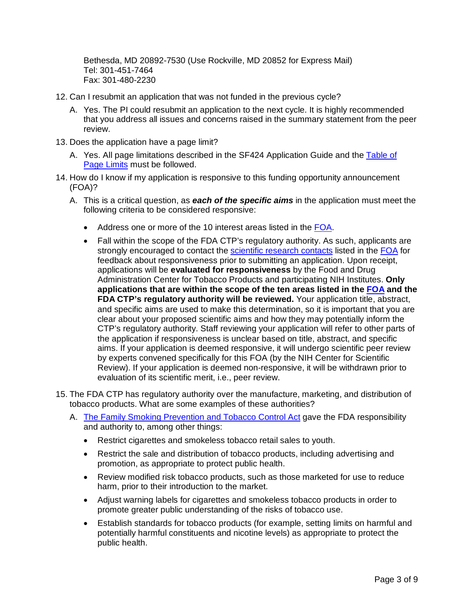Bethesda, MD 20892-7530 (Use Rockville, MD 20852 for Express Mail) Tel: 301-451-7464 Fax: 301-480-2230

- 12. Can I resubmit an application that was not funded in the previous cycle?
	- A. Yes. The PI could resubmit an application to the next cycle. It is highly recommended that you address all issues and concerns raised in the summary statement from the peer review.
- 13. Does the application have a page limit?
	- A. Yes. All page limitations described in the SF424 Application Guide and the [Table of](http://grants.nih.gov/grants/guide/url_redirect.htm?id=11133)  [Page Limits](http://grants.nih.gov/grants/guide/url_redirect.htm?id=11133) must be followed.
- 14. How do I know if my application is responsive to this funding opportunity announcement (FOA)?
	- A. This is a critical question, as *each of the specific aims* in the application must meet the following criteria to be considered responsive:
		- Address one or more of the 10 interest areas listed in the [FOA.](http://grants.nih.gov/grants/guide/rfa-files/RFA-OD-15-004.html)
		- Fall within the scope of the FDA CTP's regulatory authority. As such, applicants are strongly encouraged to contact the [scientific research contacts](http://grants.nih.gov/grants/guide/rfa-files/RFA-OD-15-004.html#_Section_VII._Agency) listed in the [FOA](http://grants.nih.gov/grants/guide/rfa-files/RFA-OD-15-004.html) for feedback about responsiveness prior to submitting an application. Upon receipt, applications will be **evaluated for responsiveness** by the Food and Drug Administration Center for Tobacco Products and participating NIH Institutes. **Only applications that are within the scope of the ten areas listed in the [FOA](http://grants.nih.gov/grants/guide/rfa-files/RFA-OD-15-004.html) and the FDA CTP's regulatory authority will be reviewed.** Your application title, abstract, and specific aims are used to make this determination, so it is important that you are clear about your proposed scientific aims and how they may potentially inform the CTP's regulatory authority. Staff reviewing your application will refer to other parts of the application if responsiveness is unclear based on title, abstract, and specific aims. If your application is deemed responsive, it will undergo scientific peer review by experts convened specifically for this FOA (by the NIH Center for Scientific Review). If your application is deemed non-responsive, it will be withdrawn prior to evaluation of its scientific merit, i.e., peer review.
- 15. The FDA CTP has regulatory authority over the manufacture, marketing, and distribution of tobacco products. What are some examples of these authorities?
	- A. [The Family Smoking Prevention and Tobacco Control Act](https://www.fda.gov/downloads/tobaccoproducts/labeling/rulesregulationsguidance/ucm336940.pdf) gave the FDA responsibility and authority to, among other things:
		- Restrict cigarettes and smokeless tobacco retail sales to youth.
		- Restrict the sale and distribution of tobacco products, including advertising and promotion, as appropriate to protect public health.
		- Review modified risk tobacco products, such as those marketed for use to reduce harm, prior to their introduction to the market.
		- Adjust warning labels for cigarettes and smokeless tobacco products in order to promote greater public understanding of the risks of tobacco use.
		- Establish standards for tobacco products (for example, setting limits on harmful and potentially harmful constituents and nicotine levels) as appropriate to protect the public health.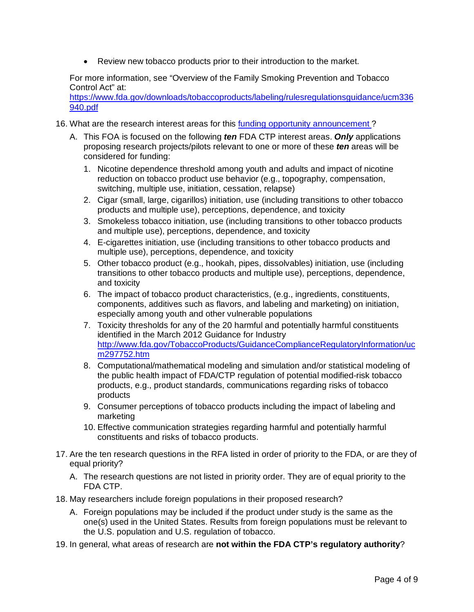• Review new tobacco products prior to their introduction to the market.

For more information, see "Overview of the Family Smoking Prevention and Tobacco Control Act" at:

[https://www.fda.gov/downloads/tobaccoproducts/labeling/rulesregulationsguidance/ucm336](https://www.fda.gov/downloads/tobaccoproducts/labeling/rulesregulationsguidance/ucm336940.pdf) [940.pdf](https://www.fda.gov/downloads/tobaccoproducts/labeling/rulesregulationsguidance/ucm336940.pdf)

- 16. What are the research interest areas for this [funding opportunity announcement ?](http://grants.nih.gov/grants/guide/rfa-files/RFA-OD-15-004.html)
	- A. This FOA is focused on the following *ten* FDA CTP interest areas. *Only* applications proposing research projects/pilots relevant to one or more of these *ten* areas will be considered for funding:
		- 1. Nicotine dependence threshold among youth and adults and impact of nicotine reduction on tobacco product use behavior (e.g., topography, compensation, switching, multiple use, initiation, cessation, relapse)
		- 2. Cigar (small, large, cigarillos) initiation, use (including transitions to other tobacco products and multiple use), perceptions, dependence, and toxicity
		- 3. Smokeless tobacco initiation, use (including transitions to other tobacco products and multiple use), perceptions, dependence, and toxicity
		- 4. E-cigarettes initiation, use (including transitions to other tobacco products and multiple use), perceptions, dependence, and toxicity
		- 5. Other tobacco product (e.g., hookah, pipes, dissolvables) initiation, use (including transitions to other tobacco products and multiple use), perceptions, dependence, and toxicity
		- 6. The impact of tobacco product characteristics, (e.g., ingredients, constituents, components, additives such as flavors, and labeling and marketing) on initiation, especially among youth and other vulnerable populations
		- 7. Toxicity thresholds for any of the 20 harmful and potentially harmful constituents identified in the March 2012 Guidance for Industry [http://www.fda.gov/TobaccoProducts/GuidanceComplianceRegulatoryInformation/uc](http://www.fda.gov/TobaccoProducts/GuidanceComplianceRegulatoryInformation/ucm297752.htm) [m297752.htm](http://www.fda.gov/TobaccoProducts/GuidanceComplianceRegulatoryInformation/ucm297752.htm)
		- 8. Computational/mathematical modeling and simulation and/or statistical modeling of the public health impact of FDA/CTP regulation of potential modified-risk tobacco products, e.g., product standards, communications regarding risks of tobacco products
		- 9. Consumer perceptions of tobacco products including the impact of labeling and marketing
		- 10. Effective communication strategies regarding harmful and potentially harmful constituents and risks of tobacco products.
- 17. Are the ten research questions in the RFA listed in order of priority to the FDA, or are they of equal priority?
	- A. The research questions are not listed in priority order. They are of equal priority to the FDA CTP.
- 18. May researchers include foreign populations in their proposed research?
	- A. Foreign populations may be included if the product under study is the same as the one(s) used in the United States. Results from foreign populations must be relevant to the U.S. population and U.S. regulation of tobacco.
- 19. In general, what areas of research are **not within the FDA CTP's regulatory authority**?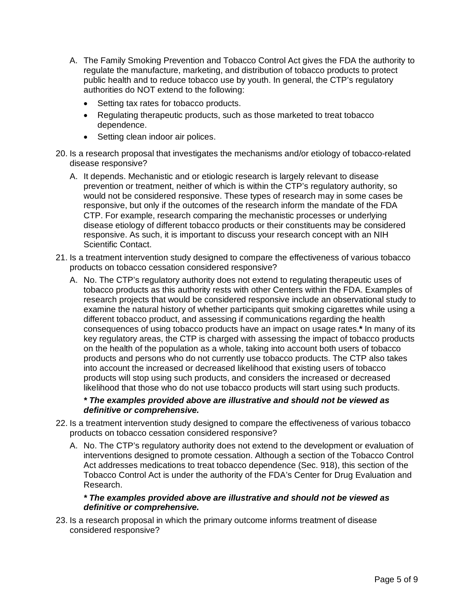- A. The Family Smoking Prevention and Tobacco Control Act gives the FDA the authority to regulate the manufacture, marketing, and distribution of tobacco products to protect public health and to reduce tobacco use by youth. In general, the CTP's regulatory authorities do NOT extend to the following:
	- Setting tax rates for tobacco products.
	- Regulating therapeutic products, such as those marketed to treat tobacco dependence.
	- Setting clean indoor air polices.
- 20. Is a research proposal that investigates the mechanisms and/or etiology of tobacco-related disease responsive?
	- A. It depends. Mechanistic and or etiologic research is largely relevant to disease prevention or treatment, neither of which is within the CTP's regulatory authority, so would not be considered responsive. These types of research may in some cases be responsive, but only if the outcomes of the research inform the mandate of the FDA CTP. For example, research comparing the mechanistic processes or underlying disease etiology of different tobacco products or their constituents may be considered responsive. As such, it is important to discuss your research concept with an NIH Scientific Contact.
- 21. Is a treatment intervention study designed to compare the effectiveness of various tobacco products on tobacco cessation considered responsive?
	- A. No. The CTP's regulatory authority does not extend to regulating therapeutic uses of tobacco products as this authority rests with other Centers within the FDA. Examples of research projects that would be considered responsive include an observational study to examine the natural history of whether participants quit smoking cigarettes while using a different tobacco product, and assessing if communications regarding the health consequences of using tobacco products have an impact on usage rates.**\*** In many of its key regulatory areas, the CTP is charged with assessing the impact of tobacco products on the health of the population as a whole, taking into account both users of tobacco products and persons who do not currently use tobacco products. The CTP also takes into account the increased or decreased likelihood that existing users of tobacco products will stop using such products, and considers the increased or decreased likelihood that those who do not use tobacco products will start using such products.

#### *\* The examples provided above are illustrative and should not be viewed as definitive or comprehensive.*

- 22. Is a treatment intervention study designed to compare the effectiveness of various tobacco products on tobacco cessation considered responsive?
	- A. No. The CTP's regulatory authority does not extend to the development or evaluation of interventions designed to promote cessation. Although a section of the Tobacco Control Act addresses medications to treat tobacco dependence (Sec. 918), this section of the Tobacco Control Act is under the authority of the FDA's Center for Drug Evaluation and Research.

#### *\* The examples provided above are illustrative and should not be viewed as definitive or comprehensive.*

23. Is a research proposal in which the primary outcome informs treatment of disease considered responsive?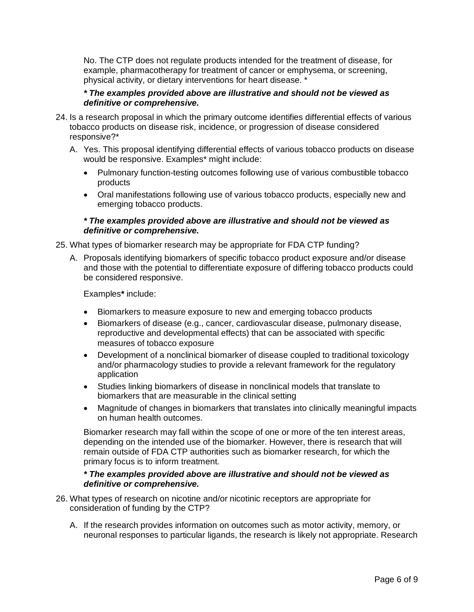No. The CTP does not regulate products intended for the treatment of disease, for example, pharmacotherapy for treatment of cancer or emphysema, or screening, physical activity, or dietary interventions for heart disease. \*

#### *\* The examples provided above are illustrative and should not be viewed as definitive or comprehensive.*

- 24. Is a research proposal in which the primary outcome identifies differential effects of various tobacco products on disease risk, incidence, or progression of disease considered responsive?\*
	- A. Yes. This proposal identifying differential effects of various tobacco products on disease would be responsive. Examples\* might include:
		- Pulmonary function-testing outcomes following use of various combustible tobacco products
		- Oral manifestations following use of various tobacco products, especially new and emerging tobacco products.

#### *\* The examples provided above are illustrative and should not be viewed as definitive or comprehensive.*

- 25. What types of biomarker research may be appropriate for FDA CTP funding?
	- A. Proposals identifying biomarkers of specific tobacco product exposure and/or disease and those with the potential to differentiate exposure of differing tobacco products could be considered responsive.

Examples**\*** include:

- Biomarkers to measure exposure to new and emerging tobacco products
- Biomarkers of disease (e.g., cancer, cardiovascular disease, pulmonary disease, reproductive and developmental effects) that can be associated with specific measures of tobacco exposure
- Development of a nonclinical biomarker of disease coupled to traditional toxicology and/or pharmacology studies to provide a relevant framework for the regulatory application
- Studies linking biomarkers of disease in nonclinical models that translate to biomarkers that are measurable in the clinical setting
- Magnitude of changes in biomarkers that translates into clinically meaningful impacts on human health outcomes.

Biomarker research may fall within the scope of one or more of the ten interest areas, depending on the intended use of the biomarker. However, there is research that will remain outside of FDA CTP authorities such as biomarker research, for which the primary focus is to inform treatment.

#### *\* The examples provided above are illustrative and should not be viewed as definitive or comprehensive.*

- 26. What types of research on nicotine and/or nicotinic receptors are appropriate for consideration of funding by the CTP?
	- A. If the research provides information on outcomes such as motor activity, memory, or neuronal responses to particular ligands, the research is likely not appropriate. Research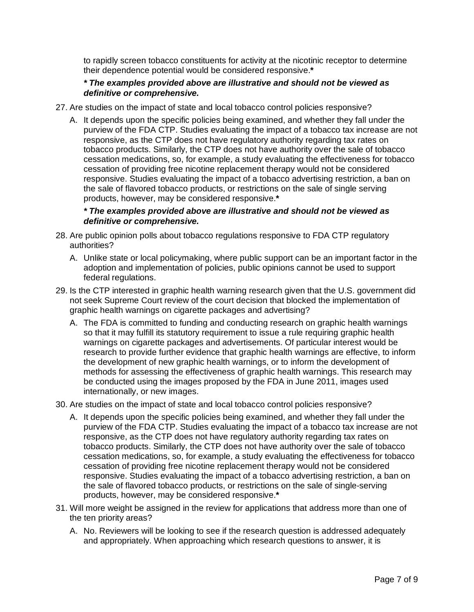to rapidly screen tobacco constituents for activity at the nicotinic receptor to determine their dependence potential would be considered responsive.**\***

### *\* The examples provided above are illustrative and should not be viewed as definitive or comprehensive.*

- 27. Are studies on the impact of state and local tobacco control policies responsive?
	- A. It depends upon the specific policies being examined, and whether they fall under the purview of the FDA CTP. Studies evaluating the impact of a tobacco tax increase are not responsive, as the CTP does not have regulatory authority regarding tax rates on tobacco products. Similarly, the CTP does not have authority over the sale of tobacco cessation medications, so, for example, a study evaluating the effectiveness for tobacco cessation of providing free nicotine replacement therapy would not be considered responsive. Studies evaluating the impact of a tobacco advertising restriction, a ban on the sale of flavored tobacco products, or restrictions on the sale of single serving products, however, may be considered responsive.**\***

### *\* The examples provided above are illustrative and should not be viewed as definitive or comprehensive.*

- 28. Are public opinion polls about tobacco regulations responsive to FDA CTP regulatory authorities?
	- A. Unlike state or local policymaking, where public support can be an important factor in the adoption and implementation of policies, public opinions cannot be used to support federal regulations.
- 29. Is the CTP interested in graphic health warning research given that the U.S. government did not seek Supreme Court review of the court decision that blocked the implementation of graphic health warnings on cigarette packages and advertising?
	- A. The FDA is committed to funding and conducting research on graphic health warnings so that it may fulfill its statutory requirement to issue a rule requiring graphic health warnings on cigarette packages and advertisements. Of particular interest would be research to provide further evidence that graphic health warnings are effective, to inform the development of new graphic health warnings, or to inform the development of methods for assessing the effectiveness of graphic health warnings. This research may be conducted using the images proposed by the FDA in June 2011, images used internationally, or new images.
- 30. Are studies on the impact of state and local tobacco control policies responsive?
	- A. It depends upon the specific policies being examined, and whether they fall under the purview of the FDA CTP. Studies evaluating the impact of a tobacco tax increase are not responsive, as the CTP does not have regulatory authority regarding tax rates on tobacco products. Similarly, the CTP does not have authority over the sale of tobacco cessation medications, so, for example, a study evaluating the effectiveness for tobacco cessation of providing free nicotine replacement therapy would not be considered responsive. Studies evaluating the impact of a tobacco advertising restriction, a ban on the sale of flavored tobacco products, or restrictions on the sale of single-serving products, however, may be considered responsive.**\***
- 31. Will more weight be assigned in the review for applications that address more than one of the ten priority areas?
	- A. No. Reviewers will be looking to see if the research question is addressed adequately and appropriately. When approaching which research questions to answer, it is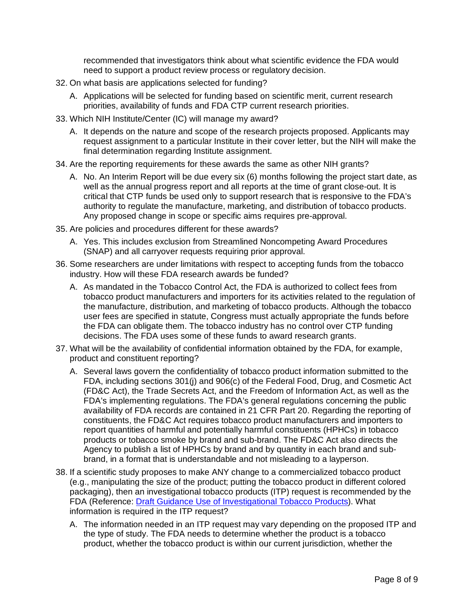recommended that investigators think about what scientific evidence the FDA would need to support a product review process or regulatory decision.

- 32. On what basis are applications selected for funding?
	- A. Applications will be selected for funding based on scientific merit, current research priorities, availability of funds and FDA CTP current research priorities.
- 33. Which NIH Institute/Center (IC) will manage my award?
	- A. It depends on the nature and scope of the research projects proposed. Applicants may request assignment to a particular Institute in their cover letter, but the NIH will make the final determination regarding Institute assignment.
- 34. Are the reporting requirements for these awards the same as other NIH grants?
	- A. No. An Interim Report will be due every six (6) months following the project start date, as well as the annual progress report and all reports at the time of grant close-out. It is critical that CTP funds be used only to support research that is responsive to the FDA's authority to regulate the manufacture, marketing, and distribution of tobacco products. Any proposed change in scope or specific aims requires pre-approval.
- 35. Are policies and procedures different for these awards?
	- A. Yes. This includes exclusion from Streamlined Noncompeting Award Procedures (SNAP) and all carryover requests requiring prior approval.
- 36. Some researchers are under limitations with respect to accepting funds from the tobacco industry. How will these FDA research awards be funded?
	- A. As mandated in the Tobacco Control Act, the FDA is authorized to collect fees from tobacco product manufacturers and importers for its activities related to the regulation of the manufacture, distribution, and marketing of tobacco products. Although the tobacco user fees are specified in statute, Congress must actually appropriate the funds before the FDA can obligate them. The tobacco industry has no control over CTP funding decisions. The FDA uses some of these funds to award research grants.
- 37. What will be the availability of confidential information obtained by the FDA, for example, product and constituent reporting?
	- A. Several laws govern the confidentiality of tobacco product information submitted to the FDA, including sections 301(j) and 906(c) of the Federal Food, Drug, and Cosmetic Act (FD&C Act), the Trade Secrets Act, and the Freedom of Information Act, as well as the FDA's implementing regulations. The FDA's general regulations concerning the public availability of FDA records are contained in 21 CFR Part 20. Regarding the reporting of constituents, the FD&C Act requires tobacco product manufacturers and importers to report quantities of harmful and potentially harmful constituents (HPHCs) in tobacco products or tobacco smoke by brand and sub-brand. The FD&C Act also directs the Agency to publish a list of HPHCs by brand and by quantity in each brand and subbrand, in a format that is understandable and not misleading to a layperson.
- 38. If a scientific study proposes to make ANY change to a commercialized tobacco product (e.g., manipulating the size of the product; putting the tobacco product in different colored packaging), then an investigational tobacco products (ITP) request is recommended by the FDA (Reference: [Draft Guidance Use of Investigational Tobacco Products\)](http://www.fda.gov/downloads/TobaccoProducts/Labeling/RulesRegulationsGuidance/UCM463953.pdf). What information is required in the ITP request?
	- A. The information needed in an ITP request may vary depending on the proposed ITP and the type of study. The FDA needs to determine whether the product is a tobacco product, whether the tobacco product is within our current jurisdiction, whether the